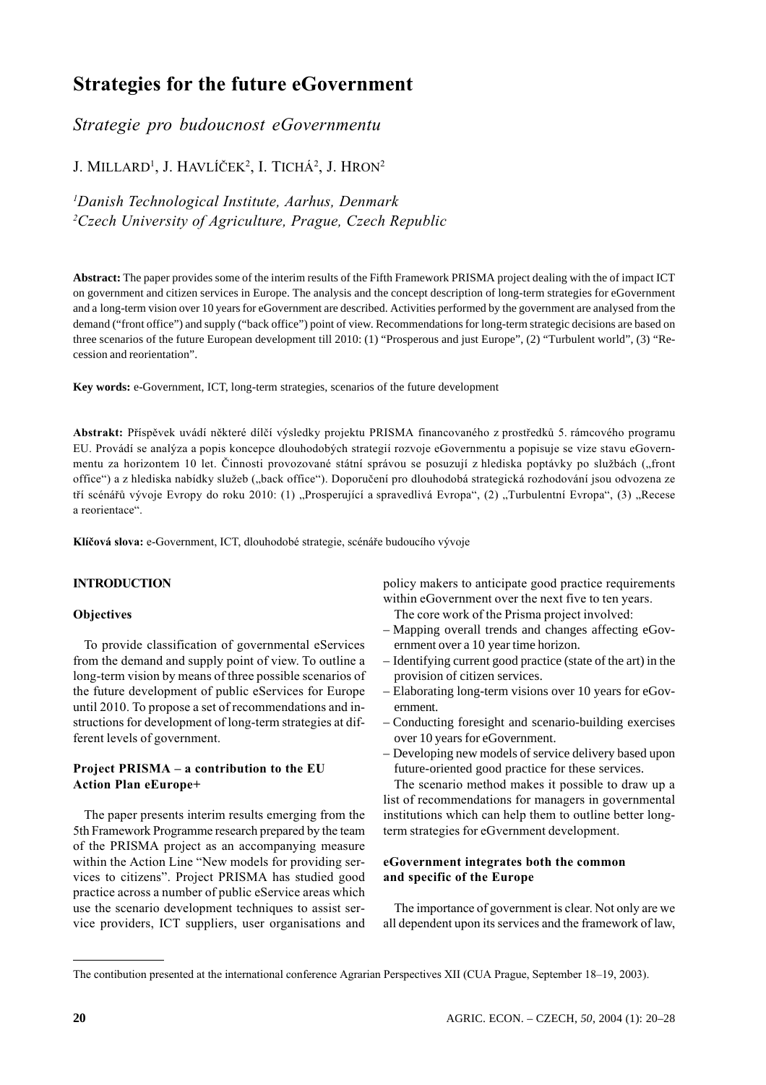# **Strategies for the future eGovernment**

Strategie pro budoucnost eGovernmentu

J. Millard<sup>i</sup>, J. Havlíček<sup>2</sup>, I. Tichá<sup>2</sup>, J. Hron<sup>2</sup>

<sup>1</sup>Danish Technological Institute, Aarhus, Denmark <sup>2</sup>Czech University of Agriculture, Prague, Czech Republic

**Abstract:** The paper provides some of the interim results of the Fifth Framework PRISMA project dealing with the of impact ICT on government and citizen services in Europe. The analysis and the concept description of long-term strategies for eGovernment and a long-term vision over 10 years for eGovernment are described. Activities performed by the government are analysed from the demand ("front office") and supply ("back office") point of view. Recommendations for long-term strategic decisions are based on three scenarios of the future European development till 2010: (1) "Prosperous and just Europe", (2) "Turbulent world", (3) "Recession and reorientation".

**Key words:** e-Government, ICT, long-term strategies, scenarios of the future development

Abstrakt: Příspěvek uvádí některé dílčí výsledky projektu PRISMA financovaného z prostředků 5. rámcového programu EU. Provádí se analýza a popis koncepce dlouhodobých strategií rozvoje eGovernmentu a popisuje se vize stavu eGovernmentu za horizontem 10 let. Činnosti provozované státní správou se posuzují z hlediska poptávky po službách ("front office") a z hlediska nabídky služeb ("back office"). Doporučení pro dlouhodobá strategická rozhodování jsou odvozena ze tří scénářů vývoje Evropy do roku 2010: (1) "Prosperující a spravedlivá Evropa", (2) "Turbulentní Evropa", (3) "Recese a reorientace".

Klíčová slova: e-Government, ICT, dlouhodobé strategie, scénáře budoucího vývoje

# **INTRODUCTION**

### Objectives

To provide classification of governmental eServices from the demand and supply point of view. To outline a long-term vision by means of three possible scenarios of the future development of public eServices for Europe until 2010. To propose a set of recommendations and instructions for development of long-term strategies at different levels of government.

# Project PRISMA – a contribution to the EU **Action Plan eEurope+**

The paper presents interim results emerging from the 5th Framework Programme research prepared by the team of the PRISMA project as an accompanying measure within the Action Line "New models for providing services to citizens". Project PRISMA has studied good practice across a number of public eService areas which use the scenario development techniques to assist service providers, ICT suppliers, user organisations and policy makers to anticipate good practice requirements within eGovernment over the next five to ten years. The core work of the Prisma project involved:

- Mapping overall trends and changes affecting eGovernment over a 10 year time horizon.
- Identifying current good practice (state of the art) in the provision of citizen services.
- Elaborating long-term visions over 10 years for eGovernment.
- Conducting foresight and scenario-building exercises over 10 years for eGovernment.
- Developing new models of service delivery based upon future-oriented good practice for these services.

The scenario method makes it possible to draw up a list of recommendations for managers in governmental institutions which can help them to outline better longterm strategies for eGvernment development.

# eGovernment integrates both the common and specific of the Europe

The importance of government is clear. Not only are we all dependent upon its services and the framework of law,

The contibution presented at the international conference Agrarian Perspectives XII (CUA Prague, September 18–19, 2003).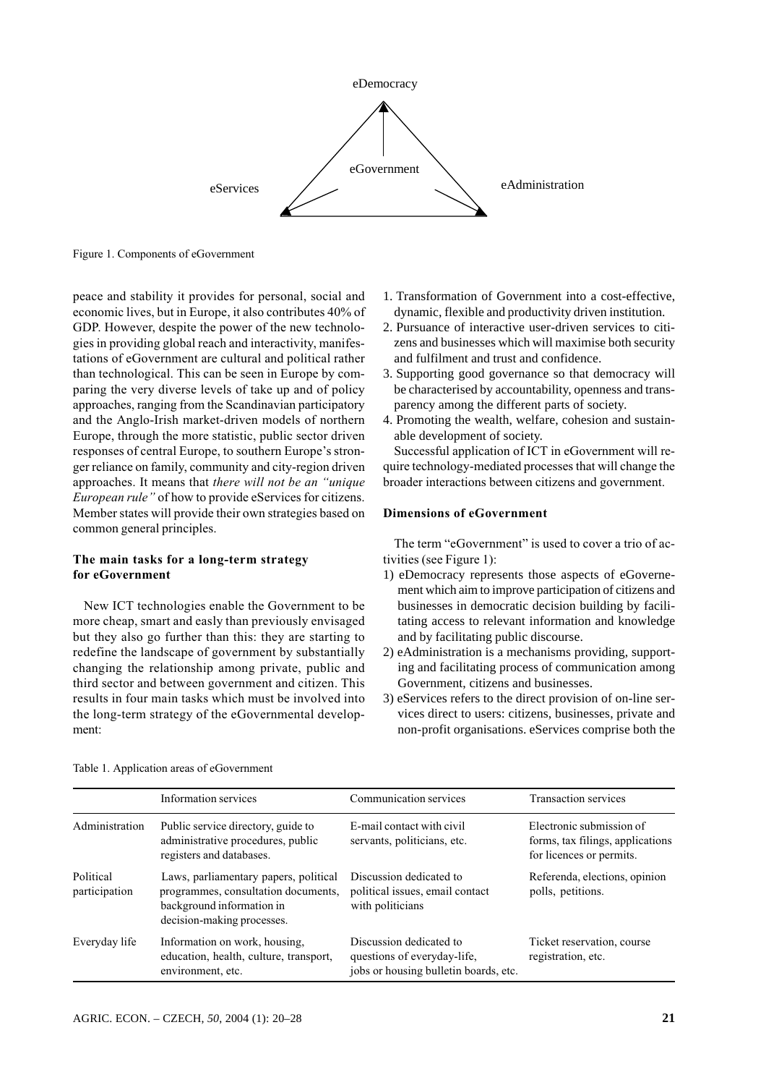

Figure 1. Components of eGovernment

peace and stability it provides for personal, social and economic lives, but in Europe, it also contributes 40% of GDP. However, despite the power of the new technologies in providing global reach and interactivity, manifestations of eGovernment are cultural and political rather than technological. This can be seen in Europe by comparing the very diverse levels of take up and of policy approaches, ranging from the Scandinavian participatory and the Anglo-Irish market-driven models of northern Europe, through the more statistic, public sector driven responses of central Europe, to southern Europe's stronger reliance on family, community and city-region driven approaches. It means that there will not be an "unique European rule" of how to provide eServices for citizens. Member states will provide their own strategies based on common general principles.

# The main tasks for a long-term strategy for eGovernment

New ICT technologies enable the Government to be more cheap, smart and easly than previously envisaged but they also go further than this: they are starting to redefine the landscape of government by substantially changing the relationship among private, public and third sector and between government and citizen. This results in four main tasks which must be involved into the long-term strategy of the eGovernmental development:

- 1. Transformation of Government into a cost-effective, dynamic, flexible and productivity driven institution.
- 2. Pursuance of interactive user-driven services to citizens and businesses which will maximise both security and fulfilment and trust and confidence.
- 3. Supporting good governance so that democracy will be characterised by accountability, openness and transparency among the different parts of society.
- 4. Promoting the wealth, welfare, cohesion and sustainable development of society.

Successful application of ICT in eGovernment will require technology-mediated processes that will change the broader interactions between citizens and government.

### Dimensions of eGovernment

The term "eGovernment" is used to cover a trio of activities (see Figure 1):

- 1) eDemocracy represents those aspects of eGovernement which aim to improve participation of citizens and businesses in democratic decision building by facilitating access to relevant information and knowledge and by facilitating public discourse.
- 2) eAdministration is a mechanisms providing, supporting and facilitating process of communication among Government, citizens and businesses.
- 3) eServices refers to the direct provision of on-line services direct to users: citizens, businesses, private and non-profit organisations. eServices comprise both the

|                            | Information services                                                                                                                    | Communication services                                                                          | Transaction services                                                                     |
|----------------------------|-----------------------------------------------------------------------------------------------------------------------------------------|-------------------------------------------------------------------------------------------------|------------------------------------------------------------------------------------------|
| Administration             | Public service directory, guide to<br>administrative procedures, public<br>registers and databases.                                     | E-mail contact with civil<br>servants, politicians, etc.                                        | Electronic submission of<br>forms, tax filings, applications<br>for licences or permits. |
| Political<br>participation | Laws, parliamentary papers, political<br>programmes, consultation documents,<br>background information in<br>decision-making processes. | Discussion dedicated to<br>political issues, email contact<br>with politicians                  | Referenda, elections, opinion<br>polls, petitions.                                       |
| Everyday life              | Information on work, housing,<br>education, health, culture, transport,<br>environment, etc.                                            | Discussion dedicated to<br>questions of everyday-life,<br>jobs or housing bulletin boards, etc. | Ticket reservation, course<br>registration, etc.                                         |

Table 1. Application areas of eGovernment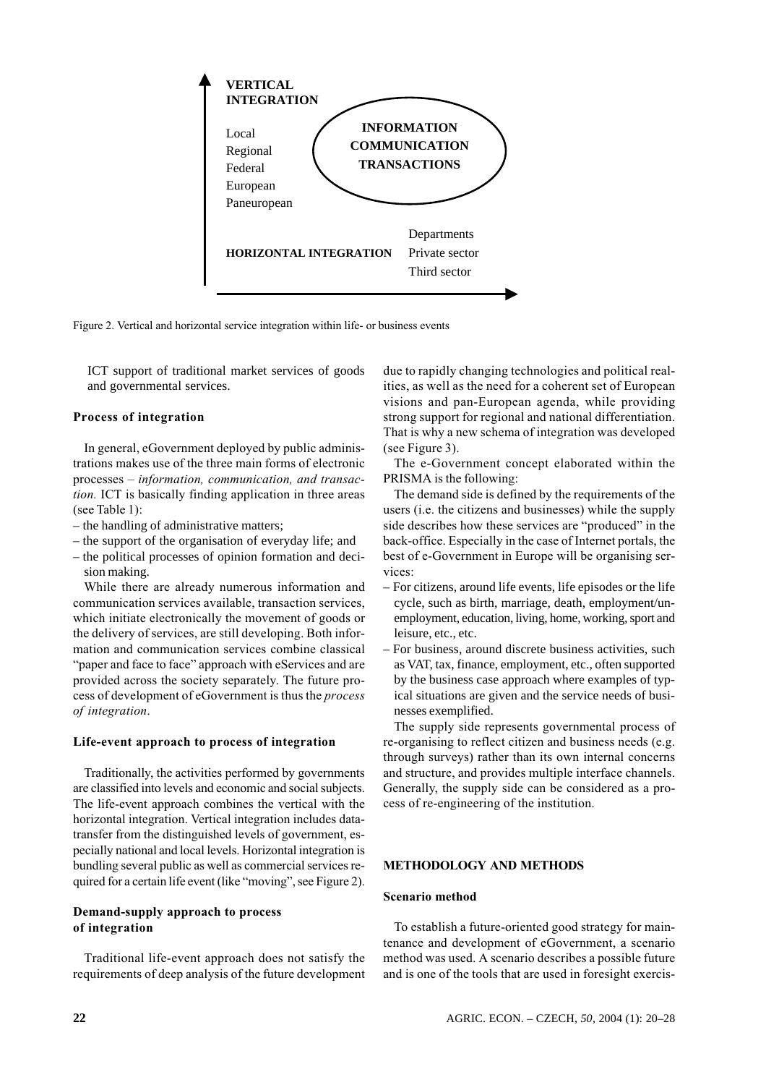

Figure 2. Vertical and horizontal service integration within life- or business events

ICT support of traditional market services of goods and governmental services.

## Process of integration

In general, eGovernment deployed by public administrations makes use of the three main forms of electronic  $processes - information$ . communication, and transaction. ICT is basically finding application in three areas (see Table 1):

- the handling of administrative matters;
- the support of the organisation of everyday life; and
- the political processes of opinion formation and decision making.

While there are already numerous information and communication services available, transaction services, which initiate electronically the movement of goods or the delivery of services, are still developing. Both information and communication services combine classical "paper and face to face" approach with eServices and are provided across the society separately. The future process of development of eGovernment is thus the *process* of integration.

# Life-event approach to process of integration

Traditionally, the activities performed by governments are classified into levels and economic and social subjects. The life-event approach combines the vertical with the horizontal integration. Vertical integration includes datatransfer from the distinguished levels of government, especially national and local levels. Horizontal integration is bundling several public as well as commercial services required for a certain life event (like "moving", see Figure 2).

# Demand-supply approach to process of integration

Traditional life-event approach does not satisfy the requirements of deep analysis of the future development due to rapidly changing technologies and political realities, as well as the need for a coherent set of European visions and pan-European agenda, while providing strong support for regional and national differentiation. That is why a new schema of integration was developed (see Figure 3).

The e-Government concept elaborated within the PRISMA is the following:

The demand side is defined by the requirements of the users (*i.e.* the citizens and businesses) while the supply side describes how these services are "produced" in the back-office. Especially in the case of Internet portals, the best of e-Government in Europe will be organising services:

- For citizens, around life events, life episodes or the life cycle, such as birth, marriage, death, employment/unemployment, education, living, home, working, sport and leisure, etc., etc.
- For business, around discrete business activities, such as VAT, tax, finance, employment, etc., often supported by the business case approach where examples of typical situations are given and the service needs of businesses exemplified.

The supply side represents governmental process of re-organising to reflect citizen and business needs (e.g. through surveys) rather than its own internal concerns and structure, and provides multiple interface channels. Generally, the supply side can be considered as a process of re-engineering of the institution.

### **METHODOLOGY AND METHODS**

### **Scenario method**

To establish a future-oriented good strategy for maintenance and development of eGovernment, a scenario method was used. A scenario describes a possible future and is one of the tools that are used in foresight exercis-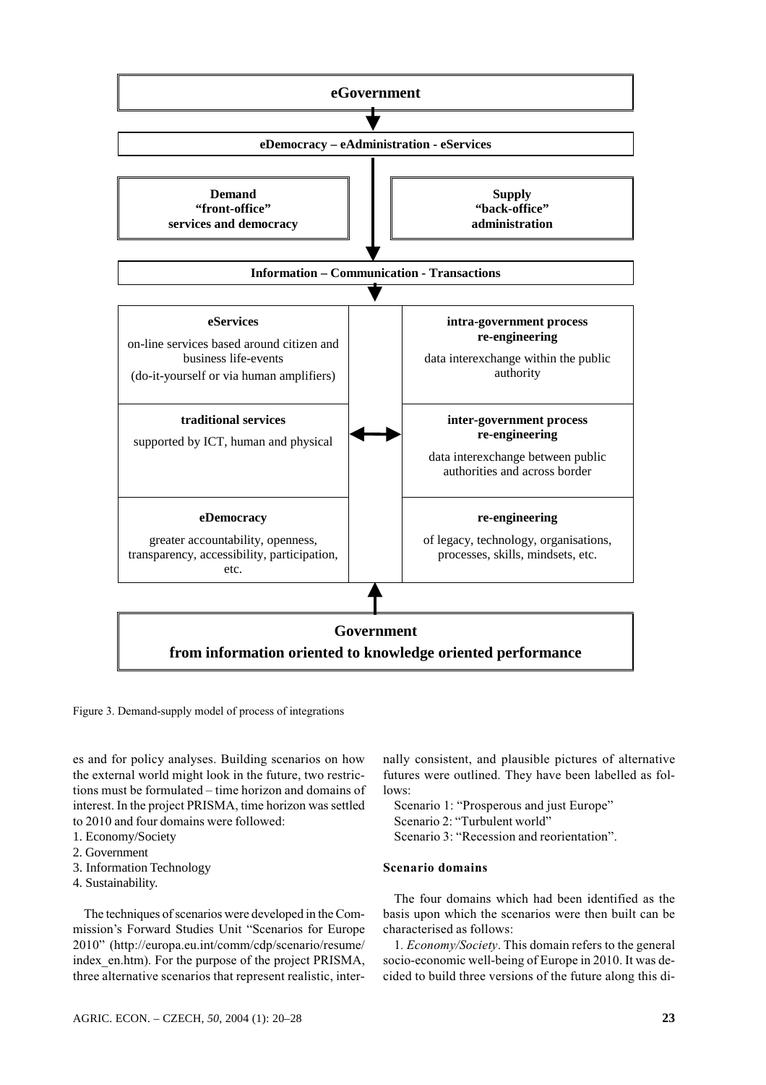

Figure 3. Demand-supply model of process of integrations

es and for policy analyses. Building scenarios on how the external world might look in the future, two restrictions must be formulated – time horizon and domains of interest. In the project PRISMA, time horizon was settled to 2010 and four domains were followed:

- 1. Economy/Society
- 2. Government
- 3. Information Technology
- 4. Sustainability.

The techniques of scenarios were developed in the Commission's Forward Studies Unit "Scenarios for Europe 2010" (http://europa.eu.int/comm/cdp/scenario/resume/ index\_en.htm). For the purpose of the project PRISMA, three alternative scenarios that represent realistic, internally consistent, and plausible pictures of alternative futures were outlined. They have been labelled as follows:

Scenario 1: "Prosperous and just Europe" Scenario 2: "Turbulent world" Scenario 3: "Recession and reorientation".

# Scenario domains

The four domains which had been identified as the basis upon which the scenarios were then built can be characterised as follows:

1. *Economy/Society*. This domain refers to the general socio-economic well-being of Europe in 2010. It was decided to build three versions of the future along this di-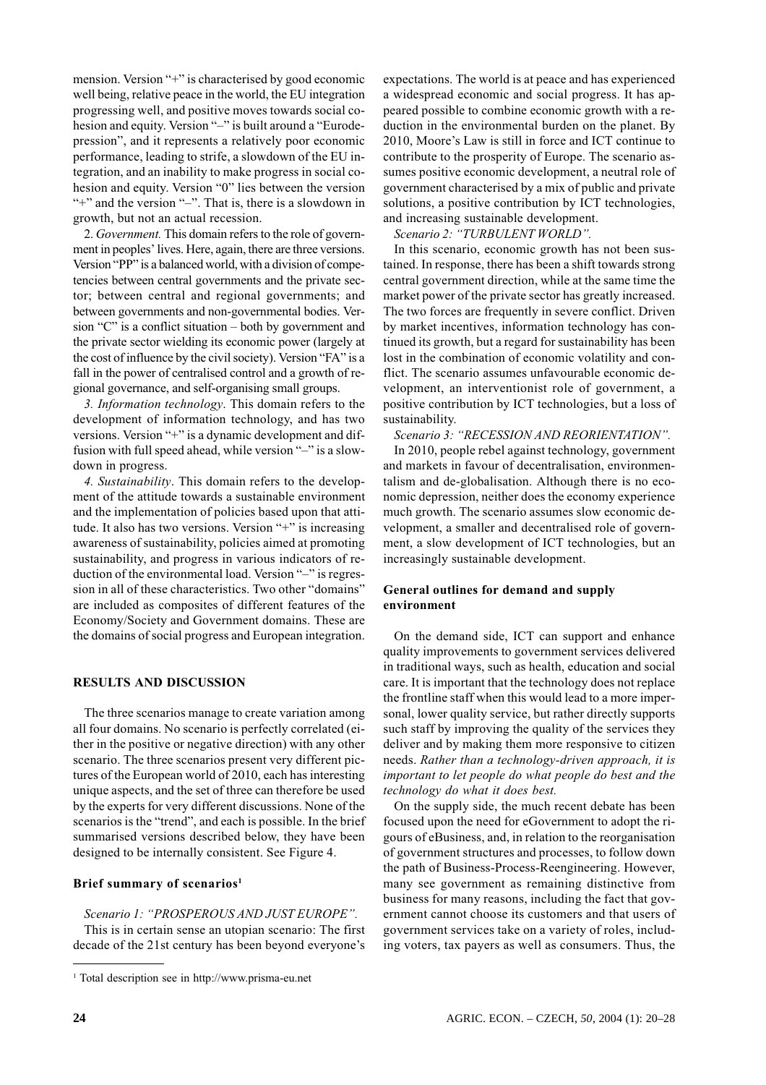mension. Version "+" is characterised by good economic well being, relative peace in the world, the EU integration progressing well, and positive moves towards social cohesion and equity. Version "-" is built around a "Eurodepression", and it represents a relatively poor economic performance, leading to strife, a slowdown of the EU integration, and an inability to make progress in social cohesion and equity. Version "0" lies between the version "+" and the version "-". That is, there is a slowdown in growth, but not an actual recession.

2. Government. This domain refers to the role of government in peoples' lives. Here, again, there are three versions. Version "PP" is a balanced world, with a division of competencies between central governments and the private sector; between central and regional governments; and between governments and non-governmental bodies. Version "C" is a conflict situation – both by government and the private sector wielding its economic power (largely at the cost of influence by the civil society). Version "FA" is a fall in the power of centralised control and a growth of regional governance, and self-organising small groups.

3. Information technology. This domain refers to the development of information technology, and has two versions. Version "+" is a dynamic development and diffusion with full speed ahead, while version "-" is a slowdown in progress.

4. Sustainability. This domain refers to the development of the attitude towards a sustainable environment and the implementation of policies based upon that attitude. It also has two versions. Version "+" is increasing awareness of sustainability, policies aimed at promoting sustainability, and progress in various indicators of reduction of the environmental load. Version "-" is regression in all of these characteristics. Two other "domains" are included as composites of different features of the Economy/Society and Government domains. These are the domains of social progress and European integration.

### **RESULTS AND DISCUSSION**

The three scenarios manage to create variation among all four domains. No scenario is perfectly correlated (either in the positive or negative direction) with any other scenario. The three scenarios present very different pictures of the European world of 2010, each has interesting unique aspects, and the set of three can therefore be used by the experts for very different discussions. None of the scenarios is the "trend", and each is possible. In the brief summarised versions described below, they have been designed to be internally consistent. See Figure 4.

# Brief summary of scenarios<sup>1</sup>

Scenario 1: "PROSPEROUS AND JUST EUROPE". This is in certain sense an utopian scenario: The first decade of the 21st century has been beyond everyone's expectations. The world is at peace and has experienced a widespread economic and social progress. It has appeared possible to combine economic growth with a reduction in the environmental burden on the planet. By 2010. Moore's Law is still in force and ICT continue to contribute to the prosperity of Europe. The scenario assumes positive economic development, a neutral role of government characterised by a mix of public and private solutions, a positive contribution by ICT technologies, and increasing sustainable development.

Scenario 2: "TURBULENT WORLD".

In this scenario, economic growth has not been sustained. In response, there has been a shift towards strong central government direction, while at the same time the market power of the private sector has greatly increased. The two forces are frequently in severe conflict. Driven by market incentives, information technology has continued its growth, but a regard for sustainability has been lost in the combination of economic volatility and conflict. The scenario assumes unfavourable economic development, an interventionist role of government, a positive contribution by ICT technologies, but a loss of sustainability.

Scenario 3: "RECESSION AND REORIENTATION".

In 2010, people rebel against technology, government and markets in favour of decentralisation, environmentalism and de-globalisation. Although there is no economic depression, neither does the economy experience much growth. The scenario assumes slow economic development, a smaller and decentralised role of government, a slow development of ICT technologies, but an increasingly sustainable development.

# General outlines for demand and supply environment

On the demand side, ICT can support and enhance quality improvements to government services delivered in traditional ways, such as health, education and social care. It is important that the technology does not replace the frontline staff when this would lead to a more impersonal, lower quality service, but rather directly supports such staff by improving the quality of the services they deliver and by making them more responsive to citizen needs. Rather than a technology-driven approach, it is important to let people do what people do best and the technology do what it does best.

On the supply side, the much recent debate has been focused upon the need for eGovernment to adopt the rigours of eBusiness, and, in relation to the reorganisation of government structures and processes, to follow down the path of Business-Process-Reengineering. However, many see government as remaining distinctive from business for many reasons, including the fact that government cannot choose its customers and that users of government services take on a variety of roles, including voters, tax payers as well as consumers. Thus, the

<sup>&</sup>lt;sup>1</sup> Total description see in http://www.prisma-eu.net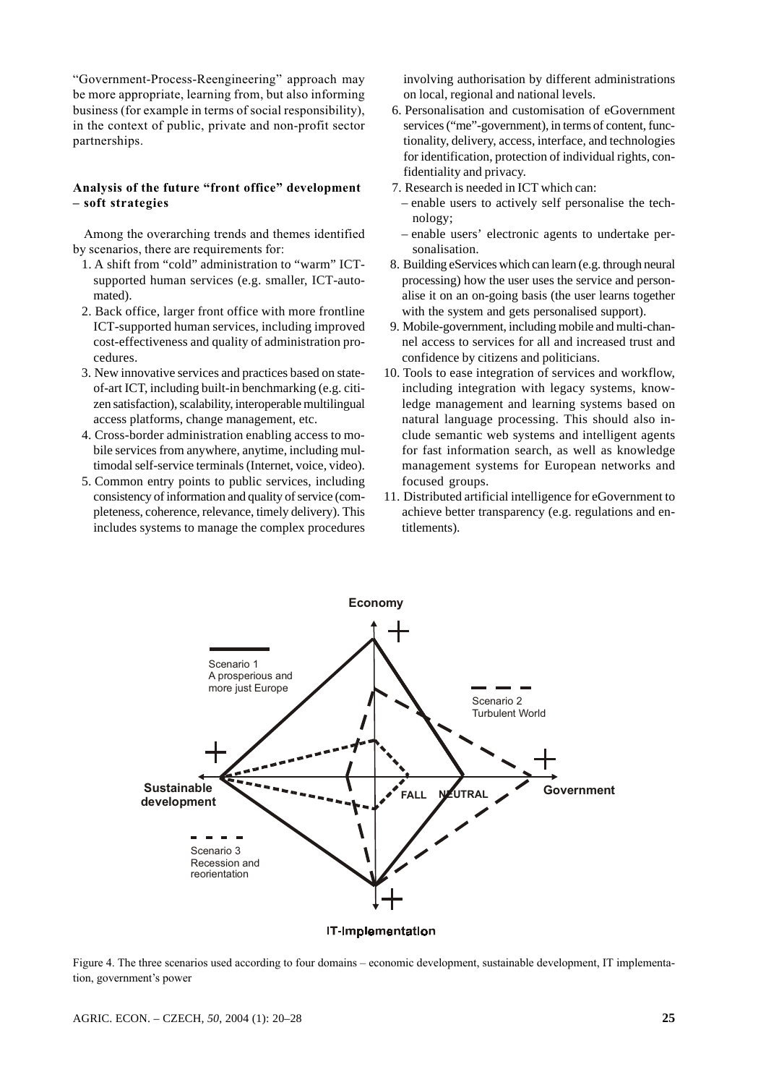"Government-Process-Reengineering" approach may be more appropriate, learning from, but also informing business (for example in terms of social responsibility). in the context of public, private and non-profit sector partnerships.

# Analysis of the future "front office" development - soft strategies

Among the overarching trends and themes identified by scenarios, there are requirements for:

- 1. A shift from "cold" administration to "warm" ICTsupported human services (e.g. smaller, ICT-automated).
- 2. Back office, larger front office with more frontline ICT-supported human services, including improved cost-effectiveness and quality of administration procedures.
- 3. New innovative services and practices based on stateof-art ICT, including built-in benchmarking (e.g. citizen satisfaction), scalability, interoperable multilingual access platforms, change management, etc.
- 4. Cross-border administration enabling access to mobile services from anywhere, anytime, including multimodal self-service terminals (Internet, voice, video).
- 5. Common entry points to public services, including consistency of information and quality of service (completeness, coherence, relevance, timely delivery). This includes systems to manage the complex procedures

involving authorisation by different administrations on local, regional and national levels.

- 6. Personalisation and customisation of eGovernment services ("me"-government), in terms of content, functionality, delivery, access, interface, and technologies for identification, protection of individual rights, confidentiality and privacy.
- 7. Research is needed in ICT which can:
	- enable users to actively self personalise the technology:
- enable users' electronic agents to undertake personalisation.
- 8. Building eServices which can learn (e.g. through neural processing) how the user uses the service and personalise it on an on-going basis (the user learns together with the system and gets personalised support).
- 9. Mobile-government, including mobile and multi-channel access to services for all and increased trust and confidence by citizens and politicians.
- 10. Tools to ease integration of services and workflow. including integration with legacy systems, knowledge management and learning systems based on natural language processing. This should also include semantic web systems and intelligent agents for fast information search, as well as knowledge management systems for European networks and focused groups.
- 11. Distributed artificial intelligence for eGovernment to achieve better transparency (e.g. regulations and entitlements).



IT-implementation

Figure 4. The three scenarios used according to four domains – economic development, sustainable development, IT implementation, government's power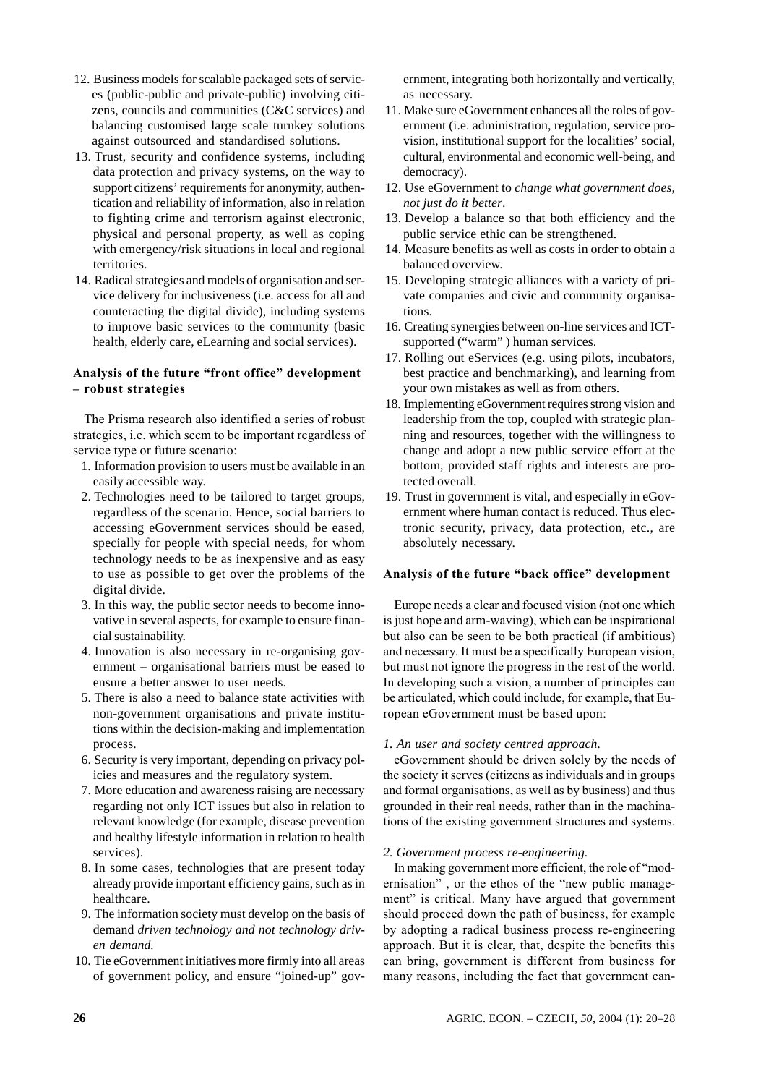- 12. Business models for scalable packaged sets of services (public-public and private-public) involving citizens, councils and communities (C&C services) and balancing customised large scale turnkey solutions against outsourced and standardised solutions.
- 13. Trust, security and confidence systems, including data protection and privacy systems, on the way to support citizens' requirements for anonymity, authentication and reliability of information, also in relation to fighting crime and terrorism against electronic, physical and personal property, as well as coping with emergency/risk situations in local and regional territories.
- 14. Radical strategies and models of organisation and service delivery for inclusiveness (i.e. access for all and counteracting the digital divide), including systems to improve basic services to the community (basic health, elderly care, eLearning and social services).

# Analysis of the future "front office" development - robust strategies

The Prisma research also identified a series of robust strategies, i.e. which seem to be important regardless of service type or future scenario:

- 1. Information provision to users must be available in an easily accessible way.
- 2. Technologies need to be tailored to target groups, regardless of the scenario. Hence, social barriers to accessing eGovernment services should be eased, specially for people with special needs, for whom technology needs to be as inexpensive and as easy to use as possible to get over the problems of the digital divide.
- 3. In this way, the public sector needs to become innovative in several aspects, for example to ensure financial sustainability.
- 4. Innovation is also necessary in re-organising government – organisational barriers must be eased to ensure a better answer to user needs.
- 5. There is also a need to balance state activities with non-government organisations and private institutions within the decision-making and implementation process.
- 6. Security is very important, depending on privacy policies and measures and the regulatory system.
- 7. More education and awareness raising are necessary regarding not only ICT issues but also in relation to relevant knowledge (for example, disease prevention and healthy lifestyle information in relation to health services).
- 8. In some cases, technologies that are present today already provide important efficiency gains, such as in healthcare.
- 9. The information society must develop on the basis of demand *driven technology and not technology driven demand.*
- 10. Tie eGovernment initiatives more firmly into all areas of government policy, and ensure "joined-up" gov-

ernment, integrating both horizontally and vertically, as necessary.

- 11. Make sure eGovernment enhances all the roles of government (i.e. administration, regulation, service provision, institutional support for the localities' social, cultural, environmental and economic well-being, and democracy).
- 12. Use eGovernment to *change what government does, not just do it better*.
- 13. Develop a balance so that both efficiency and the public service ethic can be strengthened.
- 14. Measure benefits as well as costs in order to obtain a balanced overview.
- 15. Developing strategic alliances with a variety of private companies and civic and community organisations.
- 16. Creating synergies between on-line services and ICTsupported ("warm") human services.
- 17. Rolling out eServices (e.g. using pilots, incubators, best practice and benchmarking), and learning from your own mistakes as well as from others.
- 18. Implementing eGovernment requires strong vision and leadership from the top, coupled with strategic planning and resources, together with the willingness to change and adopt a new public service effort at the bottom, provided staff rights and interests are protected overall.
- 19. Trust in government is vital, and especially in eGovernment where human contact is reduced. Thus electronic security, privacy, data protection, etc., are absolutely necessary.

# Analysis of the future "back office" development

Europe needs a clear and focused vision (not one which is just hope and arm-waving), which can be inspirational but also can be seen to be both practical (if ambitious) and necessary. It must be a specifically European vision, but must not ignore the progress in the rest of the world. In developing such a vision, a number of principles can be articulated, which could include, for example, that European eGovernment must be based upon:

### *1. An user and society centred approach*.

eGovernment should be driven solely by the needs of the society it serves (citizens as individuals and in groups and formal organisations, as well as by business) and thus grounded in their real needs, rather than in the machinations of the existing government structures and systems.

### *2. Government process re-engineering.*

In making government more efficient, the role of "modernisation", or the ethos of the "new public management" is critical. Many have argued that government should proceed down the path of business, for example by adopting a radical business process re-engineering approach. But it is clear, that, despite the benefits this can bring, government is different from business for many reasons, including the fact that government can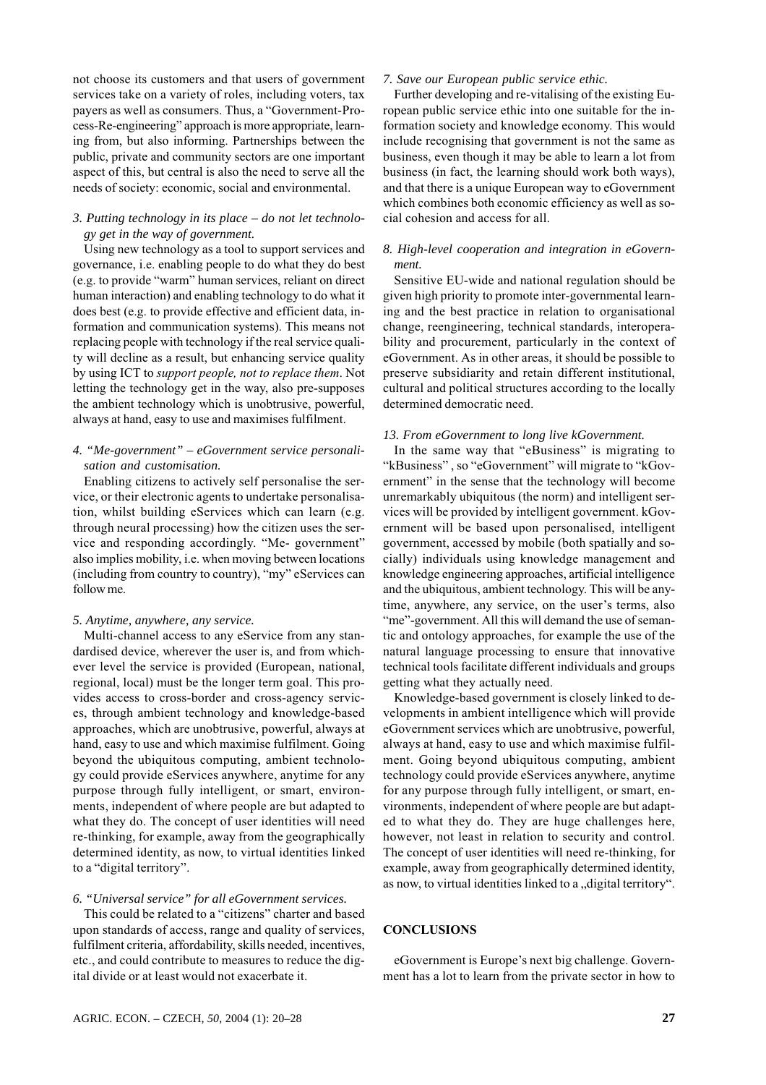not choose its customers and that users of government services take on a variety of roles, including voters, tax payers as well as consumers. Thus, a "Government-Process-Re-engineering" approach is more appropriate, learning from, but also informing. Partnerships between the public, private and community sectors are one important aspect of this, but central is also the need to serve all the needs of society: economic, social and environmental.

# 3. Putting technology in its place  $-$  do not let technology get in the way of government.

Using new technology as a tool to support services and governance, *i.e.* enabling people to do what they do best (e.g. to provide "warm" human services, reliant on direct human interaction) and enabling technology to do what it does best (e.g. to provide effective and efficient data, information and communication systems). This means not replacing people with technology if the real service quality will decline as a result, but enhancing service quality by using ICT to support people, not to replace them. Not letting the technology get in the way, also pre-supposes the ambient technology which is unobtrusive, powerful. always at hand, easy to use and maximises fulfilment.

# 4. "Me-government" – eGovernment service personalisation and customisation.

Enabling citizens to actively self personalise the service, or their electronic agents to undertake personalisation, whilst building eServices which can learn (e.g. through neural processing) how the citizen uses the service and responding accordingly. "Me- government" also implies mobility, i.e. when moving between locations (including from country to country), "my" eServices can follow me.

### 5. Anytime, anywhere, any service.

Multi-channel access to any eService from any standardised device, wherever the user is, and from whichever level the service is provided (European, national, regional, local) must be the longer term goal. This provides access to cross-border and cross-agency services, through ambient technology and knowledge-based approaches, which are unobtrusive, powerful, always at hand, easy to use and which maximise fulfilment. Going beyond the ubiquitous computing, ambient technology could provide eServices anywhere, anytime for any purpose through fully intelligent, or smart, environments, independent of where people are but adapted to what they do. The concept of user identities will need re-thinking, for example, away from the geographically determined identity, as now, to virtual identities linked to a "digital territory".

### 6. "Universal service" for all eGovernment services.

This could be related to a "citizens" charter and based upon standards of access, range and quality of services, fulfilment criteria, affordability, skills needed, incentives, etc., and could contribute to measures to reduce the digital divide or at least would not exacerbate it.

### 7. Save our European public service ethic.

Further developing and re-vitalising of the existing European public service ethic into one suitable for the information society and knowledge economy. This would include recognising that government is not the same as business, even though it may be able to learn a lot from business (in fact, the learning should work both ways), and that there is a unique European way to eGovernment which combines both economic efficiency as well as social cohesion and access for all.

## 8. High-level cooperation and integration in eGovernment.

Sensitive EU-wide and national regulation should be given high priority to promote inter-governmental learning and the best practice in relation to organisational change, reengineering, technical standards, interoperability and procurement, particularly in the context of eGovernment. As in other areas, it should be possible to preserve subsidiarity and retain different institutional, cultural and political structures according to the locally determined democratic need.

### 13. From eGovernment to long live kGovernment.

In the same way that "eBusiness" is migrating to "kBusiness", so "eGovernment" will migrate to "kGovernment" in the sense that the technology will become unremarkably ubiquitous (the norm) and intelligent services will be provided by intelligent government. kGovernment will be based upon personalised, intelligent government, accessed by mobile (both spatially and socially) individuals using knowledge management and knowledge engineering approaches, artificial intelligence and the ubiquitous, ambient technology. This will be anytime, anywhere, any service, on the user's terms, also "me"-government. All this will demand the use of semantic and ontology approaches, for example the use of the natural language processing to ensure that innovative technical tools facilitate different individuals and groups getting what they actually need.

Knowledge-based government is closely linked to developments in ambient intelligence which will provide eGovernment services which are unobtrusive, powerful, always at hand, easy to use and which maximise fulfilment. Going beyond ubiquitous computing, ambient technology could provide eServices anywhere, anytime for any purpose through fully intelligent, or smart, environments, independent of where people are but adapted to what they do. They are huge challenges here, however, not least in relation to security and control. The concept of user identities will need re-thinking, for example, away from geographically determined identity, as now, to virtual identities linked to a "digital territory".

### **CONCLUSIONS**

eGovernment is Europe's next big challenge. Government has a lot to learn from the private sector in how to